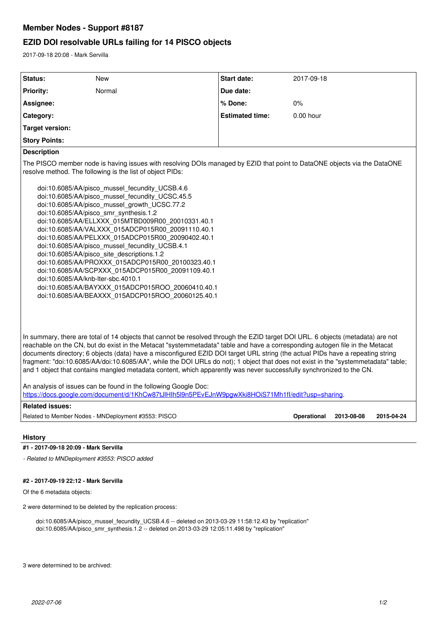## **Member Nodes - Support #8187**

## **EZID DOI resolvable URLs failing for 14 PISCO objects**

2017-09-18 20:08 - Mark Servilla

| <b>Status:</b>                                                                                                                                                                                                                                                                                                                                                                                                                                                                                                                                                                                                                                                                                                                                                                                                                                                                                                | New                                                 | <b>Start date:</b>     | 2017-09-18         |            |            |
|---------------------------------------------------------------------------------------------------------------------------------------------------------------------------------------------------------------------------------------------------------------------------------------------------------------------------------------------------------------------------------------------------------------------------------------------------------------------------------------------------------------------------------------------------------------------------------------------------------------------------------------------------------------------------------------------------------------------------------------------------------------------------------------------------------------------------------------------------------------------------------------------------------------|-----------------------------------------------------|------------------------|--------------------|------------|------------|
| <b>Priority:</b>                                                                                                                                                                                                                                                                                                                                                                                                                                                                                                                                                                                                                                                                                                                                                                                                                                                                                              | Normal                                              | Due date:              |                    |            |            |
| Assignee:                                                                                                                                                                                                                                                                                                                                                                                                                                                                                                                                                                                                                                                                                                                                                                                                                                                                                                     |                                                     | % Done:                | 0%                 |            |            |
| Category:                                                                                                                                                                                                                                                                                                                                                                                                                                                                                                                                                                                                                                                                                                                                                                                                                                                                                                     |                                                     | <b>Estimated time:</b> | $0.00$ hour        |            |            |
| <b>Target version:</b>                                                                                                                                                                                                                                                                                                                                                                                                                                                                                                                                                                                                                                                                                                                                                                                                                                                                                        |                                                     |                        |                    |            |            |
| <b>Story Points:</b>                                                                                                                                                                                                                                                                                                                                                                                                                                                                                                                                                                                                                                                                                                                                                                                                                                                                                          |                                                     |                        |                    |            |            |
| <b>Description</b>                                                                                                                                                                                                                                                                                                                                                                                                                                                                                                                                                                                                                                                                                                                                                                                                                                                                                            |                                                     |                        |                    |            |            |
| The PISCO member node is having issues with resolving DOIs managed by EZID that point to DataONE objects via the DataONE<br>resolve method. The following is the list of object PIDs:<br>doi:10.6085/AA/pisco mussel fecundity UCSB.4.6<br>doi:10.6085/AA/pisco mussel fecundity UCSC.45.5<br>doi:10.6085/AA/pisco mussel growth UCSC.77.2<br>doi:10.6085/AA/pisco smr synthesis.1.2<br>doi:10.6085/AA/ELLXXX 015MTBD009R00 20010331.40.1<br>doi:10.6085/AA/VALXXX 015ADCP015R00 20091110.40.1<br>doi:10.6085/AA/PELXXX 015ADCP015R00 20090402.40.1<br>doi:10.6085/AA/pisco_mussel_fecundity_UCSB.4.1<br>doi:10.6085/AA/pisco_site_descriptions.1.2<br>doi:10.6085/AA/PROXXX 015ADCP015R00 20100323.40.1<br>doi:10.6085/AA/SCPXXX 015ADCP015R00 20091109.40.1<br>doi:10.6085/AA/knb-lter-sbc.4010.1<br>doi:10.6085/AA/BAYXXX 015ADCP015ROO 20060410.40.1<br>doi:10.6085/AA/BEAXXX_015ADCP015ROO_20060125.40.1 |                                                     |                        |                    |            |            |
| In summary, there are total of 14 objects that cannot be resolved through the EZID target DOI URL. 6 objects (metadata) are not<br>reachable on the CN, but do exist in the Metacat "systemmetadata" table and have a corresponding autogen file in the Metacat<br>documents directory; 6 objects (data) have a misconfigured EZID DOI target URL string (the actual PIDs have a repeating string<br>fragment: "doi:10.6085/AA/doi:10.6085/AA", while the DOI URLs do not); 1 object that does not exist in the "systemmetadata" table;<br>and 1 object that contains mangled metadata content, which apparently was never successfully synchronized to the CN.<br>An analysis of issues can be found in the following Google Doc:<br>https://docs.google.com/document/d/1KhCw87tJlHlh5l9n5PEvEJnW9pgwXki8HOiS71Mh1fl/edit?usp=sharing.                                                                       |                                                     |                        |                    |            |            |
| <b>Related issues:</b>                                                                                                                                                                                                                                                                                                                                                                                                                                                                                                                                                                                                                                                                                                                                                                                                                                                                                        |                                                     |                        |                    |            |            |
|                                                                                                                                                                                                                                                                                                                                                                                                                                                                                                                                                                                                                                                                                                                                                                                                                                                                                                               | Related to Member Nodes - MNDeployment #3553: PISCO |                        | <b>Operational</b> | 2013-08-08 | 2015-04-24 |
|                                                                                                                                                                                                                                                                                                                                                                                                                                                                                                                                                                                                                                                                                                                                                                                                                                                                                                               |                                                     |                        |                    |            |            |

## **History**

**#1 - 2017-09-18 20:09 - Mark Servilla**

*- Related to MNDeployment #3553: PISCO added*

## **#2 - 2017-09-19 22:12 - Mark Servilla**

Of the 6 metadata objects:

2 were determined to be deleted by the replication process:

doi:10.6085/AA/pisco\_mussel\_fecundity\_UCSB.4.6 -- deleted on 2013-03-29 11:58:12.43 by "replication" doi:10.6085/AA/pisco\_smr\_synthesis.1.2 -- deleted on 2013-03-29 12:05:11.498 by "replication"